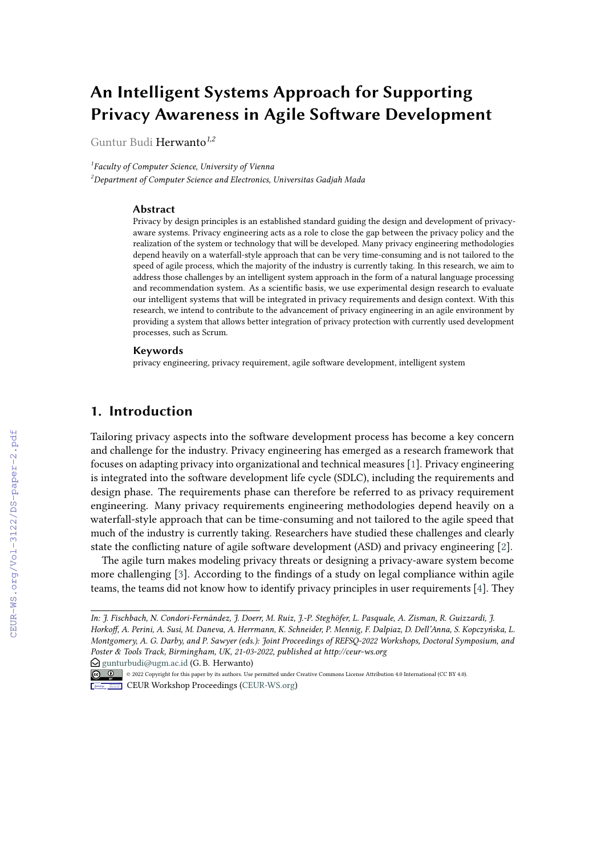# **An Intelligent Systems Approach for Supporting Privacy Awareness in Agile Software Development**

Guntur Budi Herwanto*1,2*

*1 Faculty of Computer Science, University of Vienna <sup>2</sup>Department of Computer Science and Electronics, Universitas Gadjah Mada*

#### **Abstract**

Privacy by design principles is an established standard guiding the design and development of privacyaware systems. Privacy engineering acts as a role to close the gap between the privacy policy and the realization of the system or technology that will be developed. Many privacy engineering methodologies depend heavily on a waterfall-style approach that can be very time-consuming and is not tailored to the speed of agile process, which the majority of the industry is currently taking. In this research, we aim to address those challenges by an intelligent system approach in the form of a natural language processing and recommendation system. As a scientific basis, we use experimental design research to evaluate our intelligent systems that will be integrated in privacy requirements and design context. With this research, we intend to contribute to the advancement of privacy engineering in an agile environment by providing a system that allows better integration of privacy protection with currently used development processes, such as Scrum.

#### **Keywords**

privacy engineering, privacy requirement, agile software development, intelligent system

## **1. Introduction**

Tailoring privacy aspects into the software development process has become a key concern and challenge for the industry. Privacy engineering has emerged as a research framework that focuses on adapting privacy into organizational and technical measures [\[1\]](#page--1-0). Privacy engineering is integrated into the software development life cycle (SDLC), including the requirements and design phase. The requirements phase can therefore be referred to as privacy requirement engineering. Many privacy requirements engineering methodologies depend heavily on a waterfall-style approach that can be time-consuming and not tailored to the agile speed that much of the industry is currently taking. Researchers have studied these challenges and clearly state the conflicting nature of agile software development (ASD) and privacy engineering [\[2\]](#page--1-1).

The agile turn makes modeling privacy threats or designing a privacy-aware system become more challenging [\[3\]](#page--1-2). According to the findings of a study on legal compliance within agile teams, the teams did not know how to identify privacy principles in user requirements [\[4\]](#page--1-3). They

 $\bigcirc$  [gunturbudi@ugm.ac.id](mailto:gunturbudi@ugm.ac.id) (G. B. Herwanto)

*In: J. Fischbach, N. Condori-Fernández, J. Doerr, M. Ruiz, J.-P. Steghöfer, L. Pasquale, A. Zisman, R. Guizzardi, J. Horkoff, A. Perini, A. Susi, M. Daneva, A. Herrmann, K. Schneider, P. Mennig, F. Dalpiaz, D. Dell'Anna, S. Kopczyńska, L. Montgomery, A. G. Darby, and P. Sawyer (eds.): Joint Proceedings of REFSQ-2022 Workshops, Doctoral Symposium, and Poster & Tools Track, Birmingham, UK, 21-03-2022, published at http://ceur-ws.org*

<sup>©</sup> 2022 Copyright for this paper by its authors. Use permitted under Creative Commons License Attribution 4.0 International (CC BY 4.0).

**CEUR Workshop [Proceedings](http://ceur-ws.org) [\(CEUR-WS.org\)](http://ceur-ws.org)**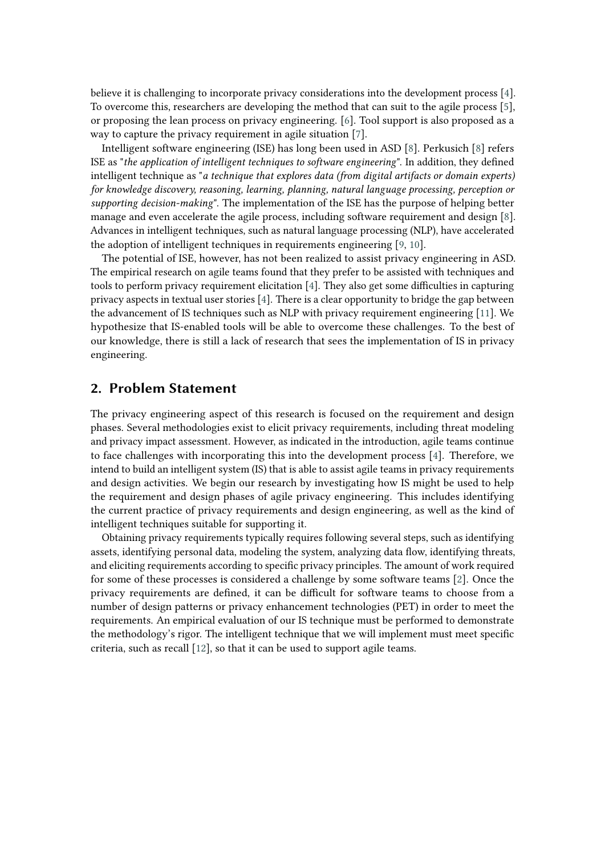believe it is challenging to incorporate privacy considerations into the development process [\[4\]](#page-5-0). To overcome this, researchers are developing the method that can suit to the agile process [\[5\]](#page-5-1), or proposing the lean process on privacy engineering. [\[6\]](#page-5-2). Tool support is also proposed as a way to capture the privacy requirement in agile situation [\[7\]](#page-5-3).

Intelligent software engineering (ISE) has long been used in ASD [\[8\]](#page-5-4). Perkusich [\[8\]](#page-5-4) refers ISE as "*the application of intelligent techniques to software engineering*". In addition, they defined intelligent technique as "*a technique that explores data (from digital artifacts or domain experts) for knowledge discovery, reasoning, learning, planning, natural language processing, perception or supporting decision-making*". The implementation of the ISE has the purpose of helping better manage and even accelerate the agile process, including software requirement and design [\[8\]](#page-5-4). Advances in intelligent techniques, such as natural language processing (NLP), have accelerated the adoption of intelligent techniques in requirements engineering [\[9,](#page-5-5) [10\]](#page-5-6).

The potential of ISE, however, has not been realized to assist privacy engineering in ASD. The empirical research on agile teams found that they prefer to be assisted with techniques and tools to perform privacy requirement elicitation [\[4\]](#page-5-0). They also get some difficulties in capturing privacy aspects in textual user stories [\[4\]](#page-5-0). There is a clear opportunity to bridge the gap between the advancement of IS techniques such as NLP with privacy requirement engineering [\[11\]](#page-5-7). We hypothesize that IS-enabled tools will be able to overcome these challenges. To the best of our knowledge, there is still a lack of research that sees the implementation of IS in privacy engineering.

#### **2. Problem Statement**

The privacy engineering aspect of this research is focused on the requirement and design phases. Several methodologies exist to elicit privacy requirements, including threat modeling and privacy impact assessment. However, as indicated in the introduction, agile teams continue to face challenges with incorporating this into the development process [\[4\]](#page-5-0). Therefore, we intend to build an intelligent system (IS) that is able to assist agile teams in privacy requirements and design activities. We begin our research by investigating how IS might be used to help the requirement and design phases of agile privacy engineering. This includes identifying the current practice of privacy requirements and design engineering, as well as the kind of intelligent techniques suitable for supporting it.

Obtaining privacy requirements typically requires following several steps, such as identifying assets, identifying personal data, modeling the system, analyzing data flow, identifying threats, and eliciting requirements according to specific privacy principles. The amount of work required for some of these processes is considered a challenge by some software teams [\[2\]](#page-5-8). Once the privacy requirements are defined, it can be difficult for software teams to choose from a number of design patterns or privacy enhancement technologies (PET) in order to meet the requirements. An empirical evaluation of our IS technique must be performed to demonstrate the methodology's rigor. The intelligent technique that we will implement must meet specific criteria, such as recall [\[12\]](#page-5-9), so that it can be used to support agile teams.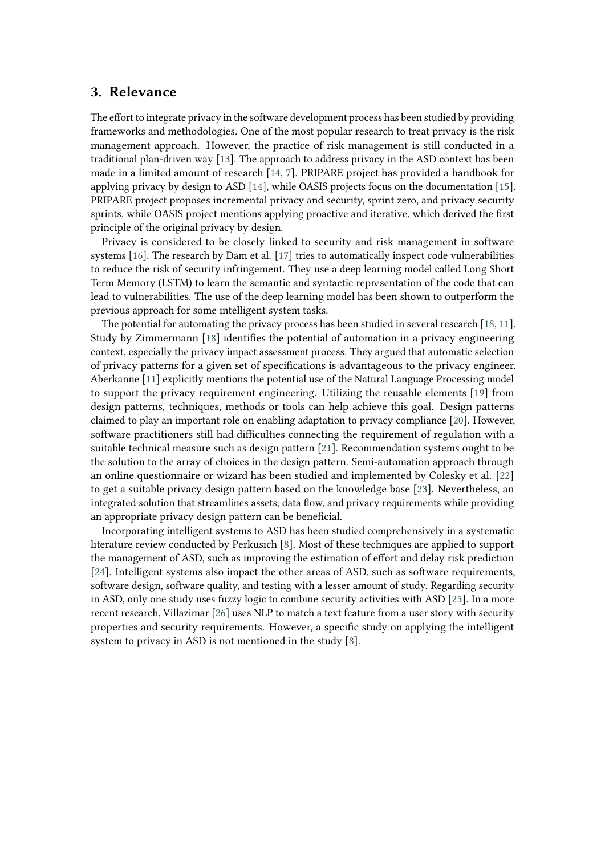#### **3. Relevance**

The effort to integrate privacy in the software development process has been studied by providing frameworks and methodologies. One of the most popular research to treat privacy is the risk management approach. However, the practice of risk management is still conducted in a traditional plan-driven way [\[13\]](#page-6-0). The approach to address privacy in the ASD context has been made in a limited amount of research [\[14,](#page-6-1) [7\]](#page-5-3). PRIPARE project has provided a handbook for applying privacy by design to ASD [\[14\]](#page-6-1), while OASIS projects focus on the documentation [\[15\]](#page-6-2). PRIPARE project proposes incremental privacy and security, sprint zero, and privacy security sprints, while OASIS project mentions applying proactive and iterative, which derived the first principle of the original privacy by design.

Privacy is considered to be closely linked to security and risk management in software systems [\[16\]](#page-6-3). The research by Dam et al. [\[17\]](#page-6-4) tries to automatically inspect code vulnerabilities to reduce the risk of security infringement. They use a deep learning model called Long Short Term Memory (LSTM) to learn the semantic and syntactic representation of the code that can lead to vulnerabilities. The use of the deep learning model has been shown to outperform the previous approach for some intelligent system tasks.

The potential for automating the privacy process has been studied in several research [\[18,](#page-6-5) [11\]](#page-5-7). Study by Zimmermann [\[18\]](#page-6-5) identifies the potential of automation in a privacy engineering context, especially the privacy impact assessment process. They argued that automatic selection of privacy patterns for a given set of specifications is advantageous to the privacy engineer. Aberkanne [\[11\]](#page-5-7) explicitly mentions the potential use of the Natural Language Processing model to support the privacy requirement engineering. Utilizing the reusable elements [\[19\]](#page-6-6) from design patterns, techniques, methods or tools can help achieve this goal. Design patterns claimed to play an important role on enabling adaptation to privacy compliance [\[20\]](#page-6-7). However, software practitioners still had difficulties connecting the requirement of regulation with a suitable technical measure such as design pattern [\[21\]](#page-6-8). Recommendation systems ought to be the solution to the array of choices in the design pattern. Semi-automation approach through an online questionnaire or wizard has been studied and implemented by Colesky et al. [\[22\]](#page-6-9) to get a suitable privacy design pattern based on the knowledge base [\[23\]](#page-6-10). Nevertheless, an integrated solution that streamlines assets, data flow, and privacy requirements while providing an appropriate privacy design pattern can be beneficial.

Incorporating intelligent systems to ASD has been studied comprehensively in a systematic literature review conducted by Perkusich [\[8\]](#page-5-4). Most of these techniques are applied to support the management of ASD, such as improving the estimation of effort and delay risk prediction [\[24\]](#page-6-11). Intelligent systems also impact the other areas of ASD, such as software requirements, software design, software quality, and testing with a lesser amount of study. Regarding security in ASD, only one study uses fuzzy logic to combine security activities with ASD [\[25\]](#page-6-12). In a more recent research, Villazimar [\[26\]](#page-7-0) uses NLP to match a text feature from a user story with security properties and security requirements. However, a specific study on applying the intelligent system to privacy in ASD is not mentioned in the study [\[8\]](#page-5-4).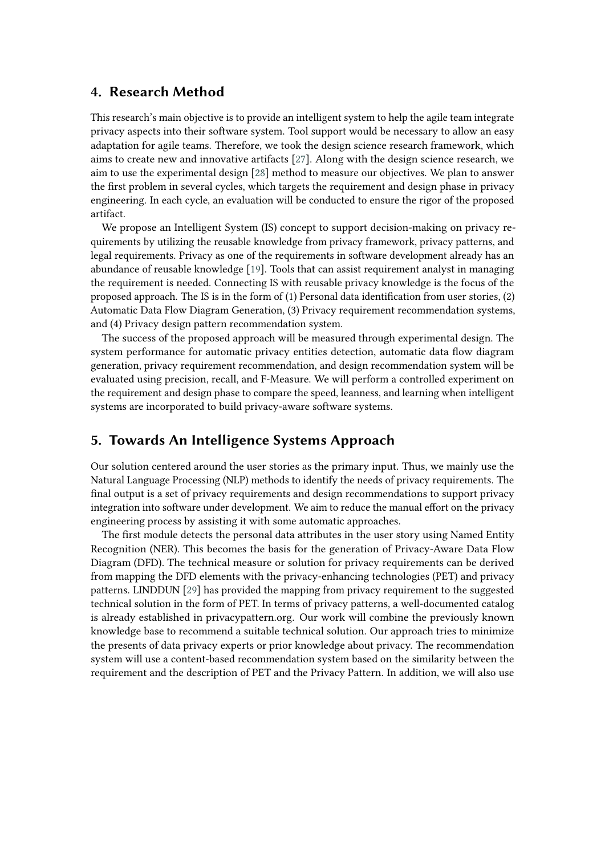#### **4. Research Method**

This research's main objective is to provide an intelligent system to help the agile team integrate privacy aspects into their software system. Tool support would be necessary to allow an easy adaptation for agile teams. Therefore, we took the design science research framework, which aims to create new and innovative artifacts [\[27\]](#page-7-1). Along with the design science research, we aim to use the experimental design [\[28\]](#page-7-2) method to measure our objectives. We plan to answer the first problem in several cycles, which targets the requirement and design phase in privacy engineering. In each cycle, an evaluation will be conducted to ensure the rigor of the proposed artifact.

We propose an Intelligent System (IS) concept to support decision-making on privacy requirements by utilizing the reusable knowledge from privacy framework, privacy patterns, and legal requirements. Privacy as one of the requirements in software development already has an abundance of reusable knowledge [\[19\]](#page-6-6). Tools that can assist requirement analyst in managing the requirement is needed. Connecting IS with reusable privacy knowledge is the focus of the proposed approach. The IS is in the form of (1) Personal data identification from user stories, (2) Automatic Data Flow Diagram Generation, (3) Privacy requirement recommendation systems, and (4) Privacy design pattern recommendation system.

The success of the proposed approach will be measured through experimental design. The system performance for automatic privacy entities detection, automatic data flow diagram generation, privacy requirement recommendation, and design recommendation system will be evaluated using precision, recall, and F-Measure. We will perform a controlled experiment on the requirement and design phase to compare the speed, leanness, and learning when intelligent systems are incorporated to build privacy-aware software systems.

# **5. Towards An Intelligence Systems Approach**

Our solution centered around the user stories as the primary input. Thus, we mainly use the Natural Language Processing (NLP) methods to identify the needs of privacy requirements. The final output is a set of privacy requirements and design recommendations to support privacy integration into software under development. We aim to reduce the manual effort on the privacy engineering process by assisting it with some automatic approaches.

The first module detects the personal data attributes in the user story using Named Entity Recognition (NER). This becomes the basis for the generation of Privacy-Aware Data Flow Diagram (DFD). The technical measure or solution for privacy requirements can be derived from mapping the DFD elements with the privacy-enhancing technologies (PET) and privacy patterns. LINDDUN [\[29\]](#page-7-3) has provided the mapping from privacy requirement to the suggested technical solution in the form of PET. In terms of privacy patterns, a well-documented catalog is already established in privacypattern.org. Our work will combine the previously known knowledge base to recommend a suitable technical solution. Our approach tries to minimize the presents of data privacy experts or prior knowledge about privacy. The recommendation system will use a content-based recommendation system based on the similarity between the requirement and the description of PET and the Privacy Pattern. In addition, we will also use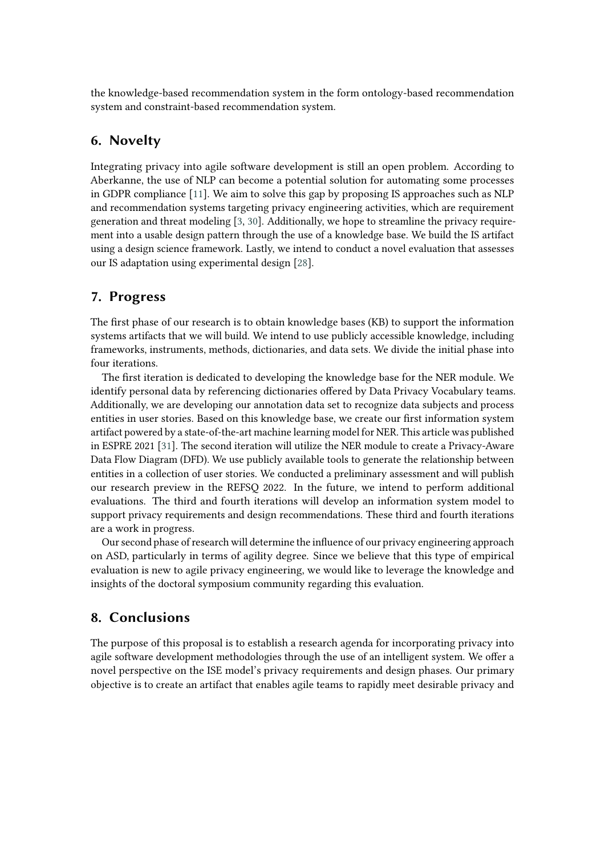the knowledge-based recommendation system in the form ontology-based recommendation system and constraint-based recommendation system.

## **6. Novelty**

Integrating privacy into agile software development is still an open problem. According to Aberkanne, the use of NLP can become a potential solution for automating some processes in GDPR compliance [\[11\]](#page-5-7). We aim to solve this gap by proposing IS approaches such as NLP and recommendation systems targeting privacy engineering activities, which are requirement generation and threat modeling [\[3,](#page-5-10) [30\]](#page-7-4). Additionally, we hope to streamline the privacy requirement into a usable design pattern through the use of a knowledge base. We build the IS artifact using a design science framework. Lastly, we intend to conduct a novel evaluation that assesses our IS adaptation using experimental design [\[28\]](#page-7-2).

#### **7. Progress**

The first phase of our research is to obtain knowledge bases (KB) to support the information systems artifacts that we will build. We intend to use publicly accessible knowledge, including frameworks, instruments, methods, dictionaries, and data sets. We divide the initial phase into four iterations.

The first iteration is dedicated to developing the knowledge base for the NER module. We identify personal data by referencing dictionaries offered by Data Privacy Vocabulary teams. Additionally, we are developing our annotation data set to recognize data subjects and process entities in user stories. Based on this knowledge base, we create our first information system artifact powered by a state-of-the-art machine learning model for NER. This article was published in ESPRE 2021 [\[31\]](#page-7-5). The second iteration will utilize the NER module to create a Privacy-Aware Data Flow Diagram (DFD). We use publicly available tools to generate the relationship between entities in a collection of user stories. We conducted a preliminary assessment and will publish our research preview in the REFSQ 2022. In the future, we intend to perform additional evaluations. The third and fourth iterations will develop an information system model to support privacy requirements and design recommendations. These third and fourth iterations are a work in progress.

Our second phase of research will determine the influence of our privacy engineering approach on ASD, particularly in terms of agility degree. Since we believe that this type of empirical evaluation is new to agile privacy engineering, we would like to leverage the knowledge and insights of the doctoral symposium community regarding this evaluation.

## **8. Conclusions**

The purpose of this proposal is to establish a research agenda for incorporating privacy into agile software development methodologies through the use of an intelligent system. We offer a novel perspective on the ISE model's privacy requirements and design phases. Our primary objective is to create an artifact that enables agile teams to rapidly meet desirable privacy and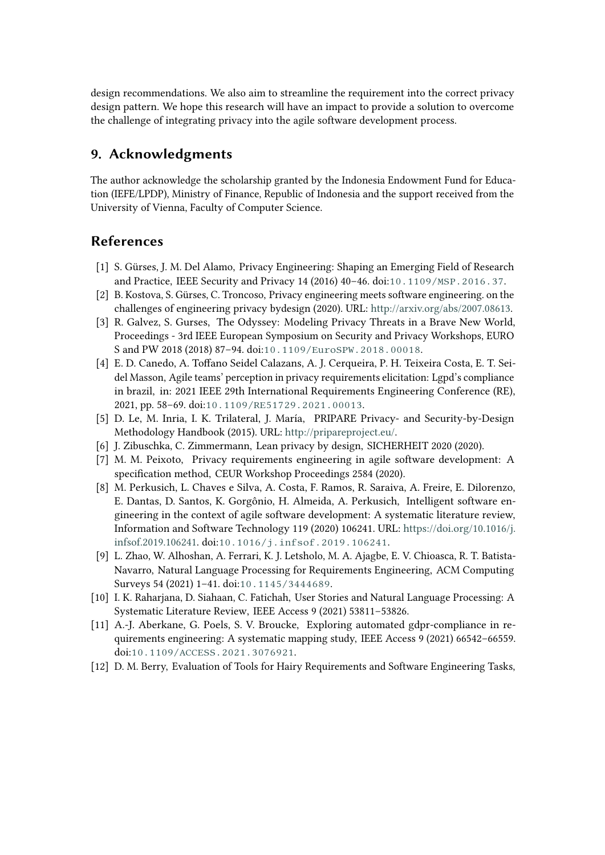design recommendations. We also aim to streamline the requirement into the correct privacy design pattern. We hope this research will have an impact to provide a solution to overcome the challenge of integrating privacy into the agile software development process.

## **9. Acknowledgments**

The author acknowledge the scholarship granted by the Indonesia Endowment Fund for Education (IEFE/LPDP), Ministry of Finance, Republic of Indonesia and the support received from the University of Vienna, Faculty of Computer Science.

# **References**

- [1] S. Gürses, J. M. Del Alamo, Privacy Engineering: Shaping an Emerging Field of Research and Practice, IEEE Security and Privacy 14 (2016) 40–46. doi:[10.1109/MSP.2016.37](http://dx.doi.org/10.1109/MSP.2016.37).
- <span id="page-5-8"></span>[2] B. Kostova, S. Gürses, C. Troncoso, Privacy engineering meets software engineering. on the challenges of engineering privacy bydesign (2020). URL: [http://arxiv.org/abs/2007.08613.](http://arxiv.org/abs/2007.08613)
- <span id="page-5-10"></span>[3] R. Galvez, S. Gurses, The Odyssey: Modeling Privacy Threats in a Brave New World, Proceedings - 3rd IEEE European Symposium on Security and Privacy Workshops, EURO S and PW 2018 (2018) 87–94. doi:[10.1109/EuroSPW.2018.00018](http://dx.doi.org/10.1109/EuroSPW.2018.00018).
- <span id="page-5-0"></span>[4] E. D. Canedo, A. Toffano Seidel Calazans, A. J. Cerqueira, P. H. Teixeira Costa, E. T. Seidel Masson, Agile teams' perception in privacy requirements elicitation: Lgpd's compliance in brazil, in: 2021 IEEE 29th International Requirements Engineering Conference (RE), 2021, pp. 58–69. doi:[10.1109/RE51729.2021.00013](http://dx.doi.org/10.1109/RE51729.2021.00013).
- <span id="page-5-1"></span>[5] D. Le, M. Inria, I. K. Trilateral, J. María, PRIPARE Privacy- and Security-by-Design Methodology Handbook (2015). URL: [http://pripareproject.eu/.](http://pripareproject.eu/)
- <span id="page-5-2"></span>[6] J. Zibuschka, C. Zimmermann, Lean privacy by design, SICHERHEIT 2020 (2020).
- <span id="page-5-3"></span>[7] M. M. Peixoto, Privacy requirements engineering in agile software development: A specification method, CEUR Workshop Proceedings 2584 (2020).
- <span id="page-5-4"></span>[8] M. Perkusich, L. Chaves e Silva, A. Costa, F. Ramos, R. Saraiva, A. Freire, E. Dilorenzo, E. Dantas, D. Santos, K. Gorgônio, H. Almeida, A. Perkusich, Intelligent software engineering in the context of agile software development: A systematic literature review, Information and Software Technology 119 (2020) 106241. URL: [https://doi.org/10.1016/j.](https://doi.org/10.1016/j.infsof.2019.106241) [infsof.2019.106241.](https://doi.org/10.1016/j.infsof.2019.106241) doi:[10.1016/j.infsof.2019.106241](http://dx.doi.org/10.1016/j.infsof.2019.106241).
- <span id="page-5-5"></span>[9] L. Zhao, W. Alhoshan, A. Ferrari, K. J. Letsholo, M. A. Ajagbe, E. V. Chioasca, R. T. Batista-Navarro, Natural Language Processing for Requirements Engineering, ACM Computing Surveys 54 (2021) 1–41. doi:[10.1145/3444689](http://dx.doi.org/10.1145/3444689).
- <span id="page-5-6"></span>[10] I. K. Raharjana, D. Siahaan, C. Fatichah, User Stories and Natural Language Processing: A Systematic Literature Review, IEEE Access 9 (2021) 53811–53826.
- <span id="page-5-7"></span>[11] A.-J. Aberkane, G. Poels, S. V. Broucke, Exploring automated gdpr-compliance in requirements engineering: A systematic mapping study, IEEE Access 9 (2021) 66542–66559. doi:[10.1109/ACCESS.2021.3076921](http://dx.doi.org/10.1109/ACCESS.2021.3076921).
- <span id="page-5-9"></span>[12] D. M. Berry, Evaluation of Tools for Hairy Requirements and Software Engineering Tasks,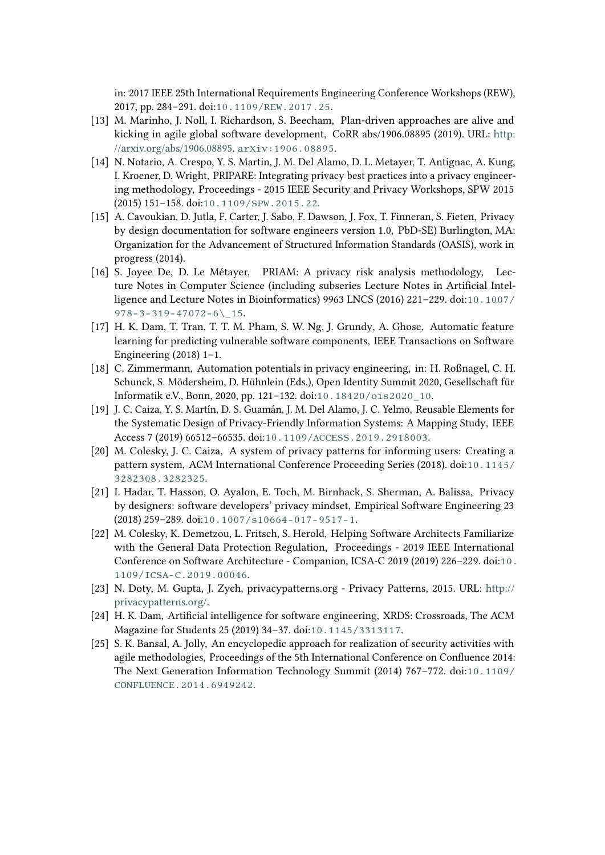in: 2017 IEEE 25th International Requirements Engineering Conference Workshops (REW), 2017, pp. 284–291. doi:[10.1109/REW.2017.25](http://dx.doi.org/10.1109/REW.2017.25).

- <span id="page-6-0"></span>[13] M. Marinho, J. Noll, I. Richardson, S. Beecham, Plan-driven approaches are alive and kicking in agile global software development, CoRR abs/1906.08895 (2019). URL: [http:](http://arxiv.org/abs/1906.08895) [//arxiv.org/abs/1906.08895.](http://arxiv.org/abs/1906.08895) [arXiv:1906.08895](http://arxiv.org/abs/1906.08895).
- <span id="page-6-1"></span>[14] N. Notario, A. Crespo, Y. S. Martin, J. M. Del Alamo, D. L. Metayer, T. Antignac, A. Kung, I. Kroener, D. Wright, PRIPARE: Integrating privacy best practices into a privacy engineering methodology, Proceedings - 2015 IEEE Security and Privacy Workshops, SPW 2015 (2015) 151–158. doi:[10.1109/SPW.2015.22](http://dx.doi.org/10.1109/SPW.2015.22).
- <span id="page-6-2"></span>[15] A. Cavoukian, D. Jutla, F. Carter, J. Sabo, F. Dawson, J. Fox, T. Finneran, S. Fieten, Privacy by design documentation for software engineers version 1.0, PbD-SE) Burlington, MA: Organization for the Advancement of Structured Information Standards (OASIS), work in progress (2014).
- <span id="page-6-3"></span>[16] S. Joyee De, D. Le Métayer, PRIAM: A privacy risk analysis methodology, Lecture Notes in Computer Science (including subseries Lecture Notes in Artificial Intelligence and Lecture Notes in Bioinformatics) 9963 LNCS (2016) 221–229. doi:[10.1007/](http://dx.doi.org/10.1007/978-3-319-47072-6_15)  $978 - 3 - 319 - 47072 - 6$  15.
- <span id="page-6-4"></span>[17] H. K. Dam, T. Tran, T. T. M. Pham, S. W. Ng, J. Grundy, A. Ghose, Automatic feature learning for predicting vulnerable software components, IEEE Transactions on Software Engineering (2018) 1–1.
- <span id="page-6-5"></span>[18] C. Zimmermann, Automation potentials in privacy engineering, in: H. Roßnagel, C. H. Schunck, S. Mödersheim, D. Hühnlein (Eds.), Open Identity Summit 2020, Gesellschaft für Informatik e.V., Bonn, 2020, pp. 121–132. doi:[10.18420/ois2020\\_10](http://dx.doi.org/10.18420/ois2020_10).
- <span id="page-6-6"></span>[19] J. C. Caiza, Y. S. Martín, D. S. Guamán, J. M. Del Alamo, J. C. Yelmo, Reusable Elements for the Systematic Design of Privacy-Friendly Information Systems: A Mapping Study, IEEE Access 7 (2019) 66512–66535. doi:[10.1109/ACCESS.2019.2918003](http://dx.doi.org/10.1109/ACCESS.2019.2918003).
- <span id="page-6-7"></span>[20] M. Colesky, J. C. Caiza, A system of privacy patterns for informing users: Creating a pattern system, ACM International Conference Proceeding Series (2018). doi:[10.1145/](http://dx.doi.org/10.1145/3282308.3282325) [3282308.3282325](http://dx.doi.org/10.1145/3282308.3282325).
- <span id="page-6-8"></span>[21] I. Hadar, T. Hasson, O. Ayalon, E. Toch, M. Birnhack, S. Sherman, A. Balissa, Privacy by designers: software developers' privacy mindset, Empirical Software Engineering 23 (2018) 259–289. doi:[10.1007/s10664-017-9517-1](http://dx.doi.org/10.1007/s10664-017-9517-1).
- <span id="page-6-9"></span>[22] M. Colesky, K. Demetzou, L. Fritsch, S. Herold, Helping Software Architects Familiarize with the General Data Protection Regulation, Proceedings - 2019 IEEE International Conference on Software Architecture - Companion, ICSA-C 2019 (2019) 226–229. doi:[10.](http://dx.doi.org/10.1109/ICSA-C.2019.00046) [1109/ICSA-C.2019.00046](http://dx.doi.org/10.1109/ICSA-C.2019.00046).
- <span id="page-6-10"></span>[23] N. Doty, M. Gupta, J. Zych, privacypatterns.org - Privacy Patterns, 2015. URL: [http://](http://privacypatterns.org/) [privacypatterns.org/.](http://privacypatterns.org/)
- <span id="page-6-11"></span>[24] H. K. Dam, Artificial intelligence for software engineering, XRDS: Crossroads, The ACM Magazine for Students 25 (2019) 34–37. doi:[10.1145/3313117](http://dx.doi.org/10.1145/3313117).
- <span id="page-6-12"></span>[25] S. K. Bansal, A. Jolly, An encyclopedic approach for realization of security activities with agile methodologies, Proceedings of the 5th International Conference on Confluence 2014: The Next Generation Information Technology Summit (2014) 767–772. doi:[10.1109/](http://dx.doi.org/10.1109/CONFLUENCE.2014.6949242) [CONFLUENCE.2014.6949242](http://dx.doi.org/10.1109/CONFLUENCE.2014.6949242).